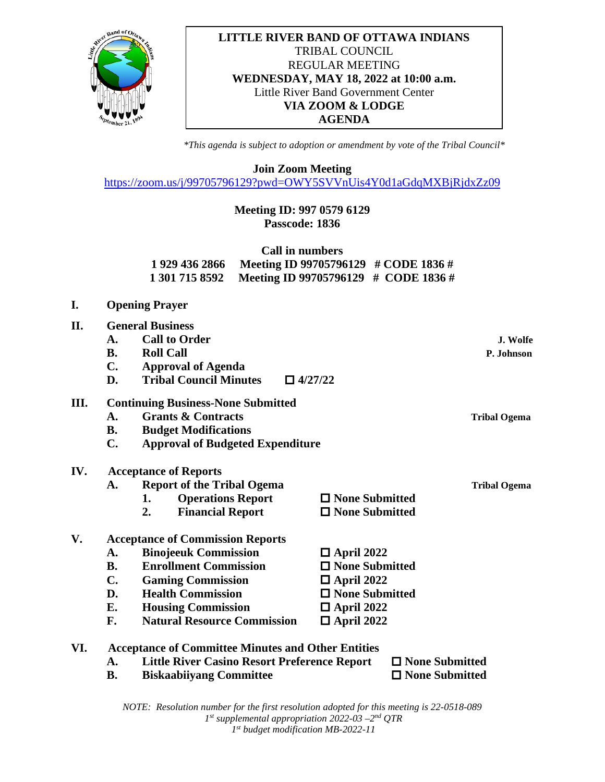

#### **LITTLE RIVER BAND OF OTTAWA INDIANS** TRIBAL COUNCIL REGULAR MEETING **WEDNESDAY, MAY 18, 2022 at 10:00 a.m.** Little River Band Government Center **VIA ZOOM & LODGE AGENDA**

*\*This agenda is subject to adoption or amendment by vote of the Tribal Council\**

**Join Zoom Meeting**

<https://zoom.us/j/99705796129?pwd=OWY5SVVnUis4Y0d1aGdqMXBjRjdxZz09>

# **Meeting ID: 997 0579 6129 Passcode: 1836**

| Call in numbers |                                                     |  |  |  |
|-----------------|-----------------------------------------------------|--|--|--|
|                 | 1 929 436 2866 Meeting ID 99705796129 # CODE 1836 # |  |  |  |
|                 | 1 301 715 8592 Meeting ID 99705796129 # CODE 1836 # |  |  |  |

- **I. Opening Prayer**
- **II. General Business A. Call to Order J. Wolfe B. Roll Call P. Johnson C. Approval of Agenda D. Tribal Council Minutes**  $\Box$  4/27/22

### **III. Continuing Business-None Submitted**

- **A. Grants & Contracts Tribal Ogema**
- **B. Budget Modifications**
- **C. Approval of Budgeted Expenditure**

#### **IV. Acceptance of Reports**

- A. **Report of the Tribal Ogema** Tribal Ogema **1.** Operations Report  $\Box$  None Submitted
	- **2. Financial Report**  $\Box$  **None Submitted**

# **V. Acceptance of Commission Reports**

- A. Binojeeuk Commission **□** April 2022
- **B. Enrollment Commission**  $\Box$  **None Submitted**
- **C. Gaming Commission**  $\Box$  **April 2022**
- **D. Health Commission D. None Submitted**
- **E. Housing Commission**  $\Box$  **April 2022** 
	-
- **F.** Natural Resource Commission **□** April 2022
- **VI. Acceptance of Committee Minutes and Other Entities**
	- **A. Little River Casino Resort Preference Report None Submitted**
	- **B. Biskaabiivang Committee D None Submitted**
- 

*NOTE: Resolution number for the first resolution adopted for this meeting is 22-0518-089 1st supplemental appropriation 2022-03 –2nd QTR 1st budget modification MB-2022-11*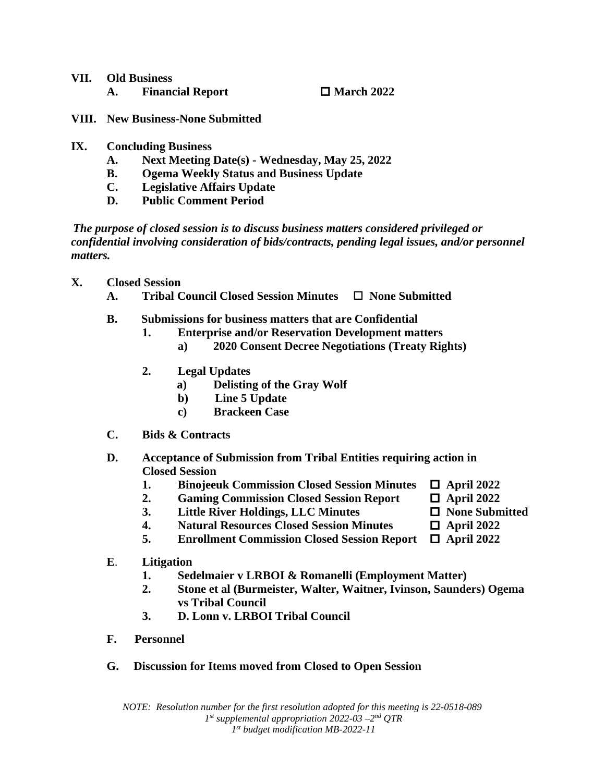| VII. Old Business |                         |                   |
|-------------------|-------------------------|-------------------|
|                   | <b>Financial Report</b> | $\Box$ March 2022 |

- **VIII. New Business-None Submitted**
- **IX. Concluding Business**
	- **A. Next Meeting Date(s) - Wednesday, May 25, 2022**
	- **B. Ogema Weekly Status and Business Update**
	- **C. Legislative Affairs Update**
	- **D. Public Comment Period**

 *The purpose of closed session is to discuss business matters considered privileged or confidential involving consideration of bids/contracts, pending legal issues, and/or personnel matters.*

- **X. Closed Session**
	- **A. Tribal Council Closed Session Minutes None Submitted**
	- **B. Submissions for business matters that are Confidential**
		- **1. Enterprise and/or Reservation Development matters**
			- **a) 2020 Consent Decree Negotiations (Treaty Rights)**
		- **2. Legal Updates**
			- **a) Delisting of the Gray Wolf**
			- **b) Line 5 Update**
			- **c) Brackeen Case**
	- **C. Bids & Contracts**
	- **D. Acceptance of Submission from Tribal Entities requiring action in Closed Session**
		- 1. **Binojeeuk Commission Closed Session Minutes**  $\Box$  April 2022
		- 2. **Gaming Commission Closed Session Report**  $\Box$  April 2022
		- **3. Little River Holdings, LLC Minutes**  $\Box$  None Submitted
		- **4. Natural Resources Closed Session Minutes □ April 2022**
		- **5. Enrollment Commission Closed Session Report April 2022**
	- **E**. **Litigation**
		- **1. Sedelmaier v LRBOI & Romanelli (Employment Matter)**
		- **2. Stone et al (Burmeister, Walter, Waitner, Ivinson, Saunders) Ogema vs Tribal Council**
		- **3. D. Lonn v. LRBOI Tribal Council**
	- **F. Personnel**
	- **G. Discussion for Items moved from Closed to Open Session**
- 
- 
- 
- 
- 
-